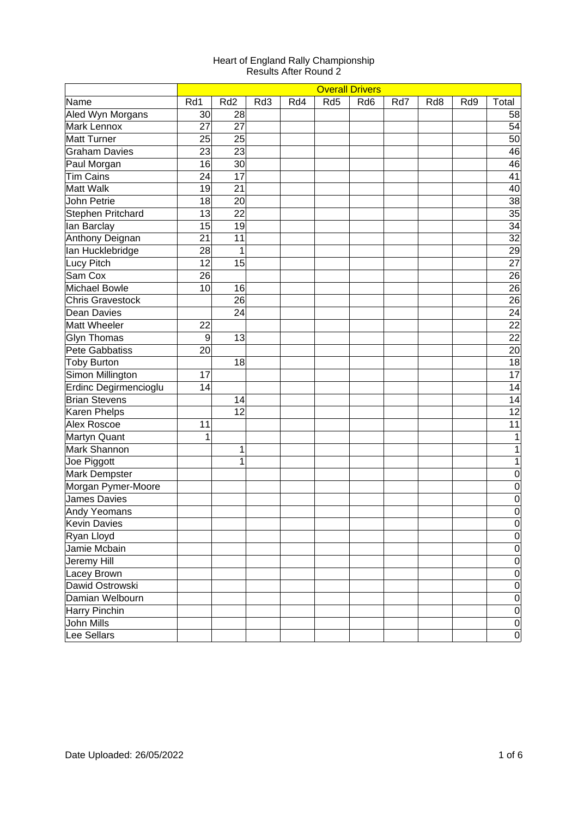|                         |     |                 |     |     |     | <b>Overall Drivers</b> |     |     |                  |                  |
|-------------------------|-----|-----------------|-----|-----|-----|------------------------|-----|-----|------------------|------------------|
| Name                    | Rd1 | Rd <sub>2</sub> | Rd3 | Rd4 | Rd5 | Rd <sub>6</sub>        | Rd7 | Rd8 | R <sub>d</sub> 9 | Total            |
| Aled Wyn Morgans        | 30  | 28              |     |     |     |                        |     |     |                  | 58               |
| Mark Lennox             | 27  | 27              |     |     |     |                        |     |     |                  | 54               |
| <b>Matt Turner</b>      | 25  | 25              |     |     |     |                        |     |     |                  | 50               |
| <b>Graham Davies</b>    | 23  | 23              |     |     |     |                        |     |     |                  | 46               |
| Paul Morgan             | 16  | 30              |     |     |     |                        |     |     |                  | 46               |
| <b>Tim Cains</b>        | 24  | 17              |     |     |     |                        |     |     |                  | 41               |
| <b>Matt Walk</b>        | 19  | 21              |     |     |     |                        |     |     |                  | 40               |
| John Petrie             | 18  | 20              |     |     |     |                        |     |     |                  | 38               |
| Stephen Pritchard       | 13  | 22              |     |     |     |                        |     |     |                  | 35               |
| lan Barclay             | 15  | 19              |     |     |     |                        |     |     |                  | 34               |
| Anthony Deignan         | 21  | 11              |     |     |     |                        |     |     |                  | 32               |
| lan Hucklebridge        | 28  | $\overline{1}$  |     |     |     |                        |     |     |                  | 29               |
| Lucy Pitch              | 12  | 15              |     |     |     |                        |     |     |                  | 27               |
| Sam Cox                 | 26  |                 |     |     |     |                        |     |     |                  | 26               |
| <b>Michael Bowle</b>    | 10  | 16              |     |     |     |                        |     |     |                  | 26               |
| <b>Chris Gravestock</b> |     | 26              |     |     |     |                        |     |     |                  | 26               |
| <b>Dean Davies</b>      |     | 24              |     |     |     |                        |     |     |                  | $\overline{24}$  |
| <b>Matt Wheeler</b>     | 22  |                 |     |     |     |                        |     |     |                  | 22               |
| <b>Glyn Thomas</b>      | 9   | 13              |     |     |     |                        |     |     |                  | 22               |
| Pete Gabbatiss          | 20  |                 |     |     |     |                        |     |     |                  | 20               |
| <b>Toby Burton</b>      |     | 18              |     |     |     |                        |     |     |                  | 18               |
| Simon Millington        | 17  |                 |     |     |     |                        |     |     |                  | 17               |
| Erdinc Degirmencioglu   | 14  |                 |     |     |     |                        |     |     |                  | 14               |
| <b>Brian Stevens</b>    |     | 14              |     |     |     |                        |     |     |                  | 14               |
| Karen Phelps            |     | 12              |     |     |     |                        |     |     |                  | 12               |
| <b>Alex Roscoe</b>      | 11  |                 |     |     |     |                        |     |     |                  | 11               |
| Martyn Quant            | 1   |                 |     |     |     |                        |     |     |                  | 1                |
| Mark Shannon            |     | $\mathbf{1}$    |     |     |     |                        |     |     |                  | 1                |
| Joe Piggott             |     | $\overline{1}$  |     |     |     |                        |     |     |                  | $\mathbf 1$      |
| Mark Dempster           |     |                 |     |     |     |                        |     |     |                  | $\boldsymbol{0}$ |
| Morgan Pymer-Moore      |     |                 |     |     |     |                        |     |     |                  | $\mathbf 0$      |
| <b>James Davies</b>     |     |                 |     |     |     |                        |     |     |                  | $\mathbf 0$      |
| Andy Yeomans            |     |                 |     |     |     |                        |     |     |                  | $\mathbf 0$      |
| <b>Kevin Davies</b>     |     |                 |     |     |     |                        |     |     |                  | 0                |
| Ryan Lloyd              |     |                 |     |     |     |                        |     |     |                  | 0                |
| Jamie Mcbain            |     |                 |     |     |     |                        |     |     |                  | $\boldsymbol{0}$ |
| Jeremy Hill             |     |                 |     |     |     |                        |     |     |                  | $\boldsymbol{0}$ |
| Lacey Brown             |     |                 |     |     |     |                        |     |     |                  | $\mathbf 0$      |
| Dawid Ostrowski         |     |                 |     |     |     |                        |     |     |                  | $\boldsymbol{0}$ |
| Damian Welbourn         |     |                 |     |     |     |                        |     |     |                  | $\pmb{0}$        |
| Harry Pinchin           |     |                 |     |     |     |                        |     |     |                  | $\mathbf 0$      |
| John Mills              |     |                 |     |     |     |                        |     |     |                  | 0                |
| Lee Sellars             |     |                 |     |     |     |                        |     |     |                  | 0                |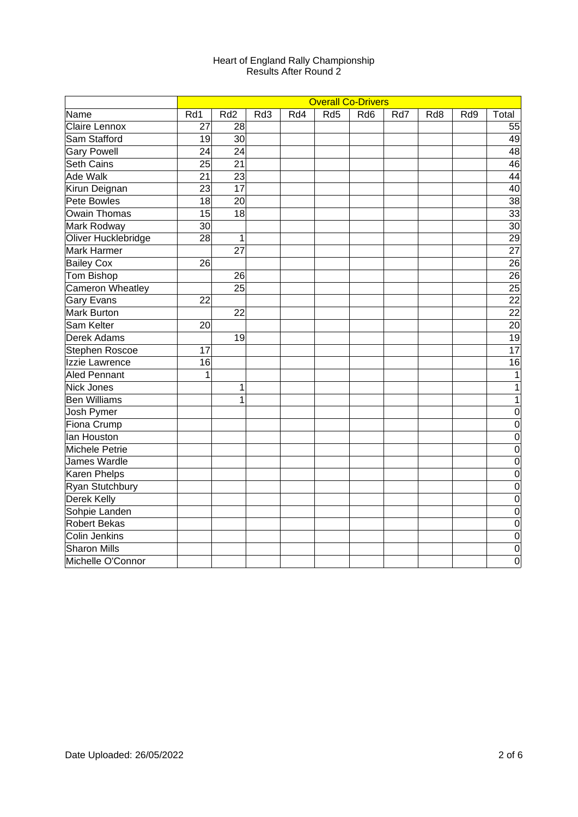|                         |                 |                 |     |     |     | <b>Overall Co-Drivers</b> |     |                 |                  |                 |
|-------------------------|-----------------|-----------------|-----|-----|-----|---------------------------|-----|-----------------|------------------|-----------------|
| Name                    | Rd1             | Rd <sub>2</sub> | Rd3 | Rd4 | Rd5 | Rd <sub>6</sub>           | Rd7 | Rd <sub>8</sub> | R <sub>d</sub> 9 | Total           |
| Claire Lennox           | 27              | 28              |     |     |     |                           |     |                 |                  | 55              |
| Sam Stafford            | 19              | 30              |     |     |     |                           |     |                 |                  | 49              |
| <b>Gary Powell</b>      | 24              | 24              |     |     |     |                           |     |                 |                  | 48              |
| Seth Cains              | $\overline{25}$ | $\overline{21}$ |     |     |     |                           |     |                 |                  | $\overline{46}$ |
| Ade Walk                | 21              | $\overline{23}$ |     |     |     |                           |     |                 |                  | 44              |
| Kirun Deignan           | 23              | 17              |     |     |     |                           |     |                 |                  | 40              |
| Pete Bowles             | 18              | 20              |     |     |     |                           |     |                 |                  | $\overline{38}$ |
| Owain Thomas            | 15              | 18              |     |     |     |                           |     |                 |                  | 33              |
| Mark Rodway             | 30              |                 |     |     |     |                           |     |                 |                  | 30              |
| Oliver Hucklebridge     | 28              | $\mathbf{1}$    |     |     |     |                           |     |                 |                  | 29              |
| Mark Harmer             |                 | $\overline{27}$ |     |     |     |                           |     |                 |                  | $\overline{27}$ |
| <b>Bailey Cox</b>       | 26              |                 |     |     |     |                           |     |                 |                  | $\overline{26}$ |
| <b>Tom Bishop</b>       |                 | 26              |     |     |     |                           |     |                 |                  | $\overline{26}$ |
| <b>Cameron Wheatley</b> |                 | 25              |     |     |     |                           |     |                 |                  | $\overline{25}$ |
| <b>Gary Evans</b>       | 22              |                 |     |     |     |                           |     |                 |                  | $\overline{22}$ |
| <b>Mark Burton</b>      |                 | 22              |     |     |     |                           |     |                 |                  | $\overline{22}$ |
| Sam Kelter              | 20              |                 |     |     |     |                           |     |                 |                  | 20              |
| Derek Adams             |                 | 19              |     |     |     |                           |     |                 |                  | 19              |
| Stephen Roscoe          | 17              |                 |     |     |     |                           |     |                 |                  | $\overline{17}$ |
| Izzie Lawrence          | 16              |                 |     |     |     |                           |     |                 |                  | 16              |
| <b>Aled Pennant</b>     | $\overline{1}$  |                 |     |     |     |                           |     |                 |                  | $\mathbf{1}$    |
| Nick Jones              |                 | $\mathbf{1}$    |     |     |     |                           |     |                 |                  | $\mathbf{1}$    |
| <b>Ben Williams</b>     |                 | $\mathbf{1}$    |     |     |     |                           |     |                 |                  | $\mathbf{1}$    |
| Josh Pymer              |                 |                 |     |     |     |                           |     |                 |                  | $\overline{0}$  |
| Fiona Crump             |                 |                 |     |     |     |                           |     |                 |                  | $\overline{0}$  |
| lan Houston             |                 |                 |     |     |     |                           |     |                 |                  | $\overline{0}$  |
| Michele Petrie          |                 |                 |     |     |     |                           |     |                 |                  | $\overline{0}$  |
| James Wardle            |                 |                 |     |     |     |                           |     |                 |                  | $\overline{0}$  |
| Karen Phelps            |                 |                 |     |     |     |                           |     |                 |                  | $\overline{0}$  |
| Ryan Stutchbury         |                 |                 |     |     |     |                           |     |                 |                  | $\mathbf 0$     |
| Derek Kelly             |                 |                 |     |     |     |                           |     |                 |                  | $\overline{0}$  |
| Sohpie Landen           |                 |                 |     |     |     |                           |     |                 |                  | $\mathbf 0$     |
| <b>Robert Bekas</b>     |                 |                 |     |     |     |                           |     |                 |                  | $\mathbf 0$     |
| Colin Jenkins           |                 |                 |     |     |     |                           |     |                 |                  | $\mathbf 0$     |
| <b>Sharon Mills</b>     |                 |                 |     |     |     |                           |     |                 |                  | $\mathbf 0$     |
| Michelle O'Connor       |                 |                 |     |     |     |                           |     |                 |                  | $\mathbf 0$     |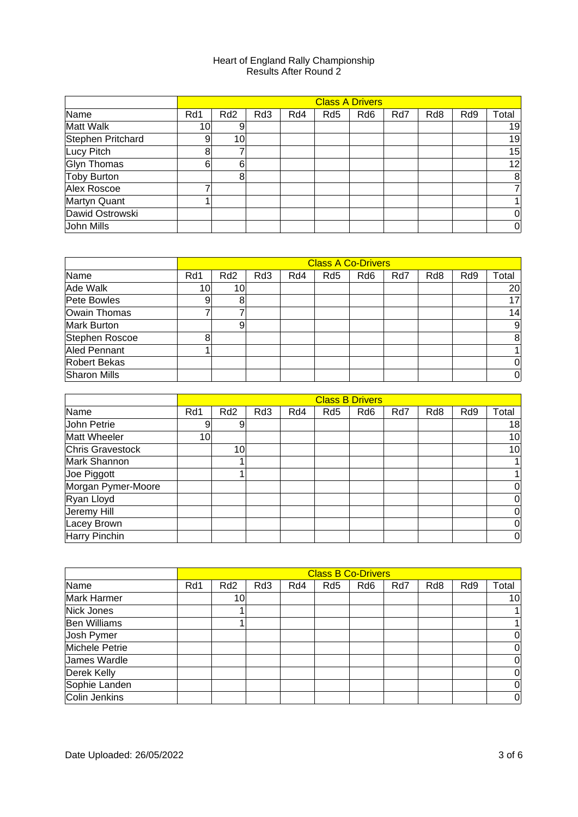|                    |     |                 |     |     |     | <b>Class A Drivers</b> |     |                  |                  |       |
|--------------------|-----|-----------------|-----|-----|-----|------------------------|-----|------------------|------------------|-------|
| Name               | Rd1 | Rd <sub>2</sub> | Rd3 | Rd4 | Rd5 | Rd <sub>6</sub>        | Rd7 | R <sub>d</sub> 8 | R <sub>d</sub> 9 | Total |
| <b>Matt Walk</b>   | 10  | 9               |     |     |     |                        |     |                  |                  | 19    |
| Stephen Pritchard  | 9   | 10              |     |     |     |                        |     |                  |                  | 19    |
| Lucy Pitch         | 8   |                 |     |     |     |                        |     |                  |                  | 15    |
| <b>Glyn Thomas</b> | 6   | 6               |     |     |     |                        |     |                  |                  | 12    |
| Toby Burton        |     | 8               |     |     |     |                        |     |                  |                  | 8     |
| Alex Roscoe        |     |                 |     |     |     |                        |     |                  |                  | 71    |
| Martyn Quant       |     |                 |     |     |     |                        |     |                  |                  |       |
| Dawid Ostrowski    |     |                 |     |     |     |                        |     |                  |                  | 0     |
| John Mills         |     |                 |     |     |     |                        |     |                  |                  | 0     |

|                     |                 |                 |     |     |                 | <b>Class A Co-Drivers</b> |     |     |                  |                |
|---------------------|-----------------|-----------------|-----|-----|-----------------|---------------------------|-----|-----|------------------|----------------|
| Name                | Rd1             | Rd <sub>2</sub> | Rd3 | Rd4 | Rd <sub>5</sub> | Rd <sub>6</sub>           | Rd7 | Rd8 | R <sub>d</sub> 9 | Total          |
| Ade Walk            | 10 <sup>1</sup> | 10              |     |     |                 |                           |     |     |                  | 20             |
| Pete Bowles         |                 | 8               |     |     |                 |                           |     |     |                  | 17             |
| Owain Thomas        |                 |                 |     |     |                 |                           |     |     |                  | 14             |
| <b>Mark Burton</b>  |                 | 9               |     |     |                 |                           |     |     |                  | 9              |
| Stephen Roscoe      | Զ               |                 |     |     |                 |                           |     |     |                  | 8              |
| Aled Pennant        |                 |                 |     |     |                 |                           |     |     |                  | $\mathbf{1}$   |
| Robert Bekas        |                 |                 |     |     |                 |                           |     |     |                  | $\Omega$       |
| <b>Sharon Mills</b> |                 |                 |     |     |                 |                           |     |     |                  | $\overline{0}$ |

|                         |     |                 |     |     |     | <b>Class B Drivers</b> |     |                  |                  |       |
|-------------------------|-----|-----------------|-----|-----|-----|------------------------|-----|------------------|------------------|-------|
| Name                    | Rd1 | Rd <sub>2</sub> | Rd3 | Rd4 | Rd5 | Rd6                    | Rd7 | R <sub>d</sub> 8 | R <sub>d</sub> 9 | Total |
| John Petrie             | 9   | 9               |     |     |     |                        |     |                  |                  | 18    |
| <b>Matt Wheeler</b>     | 10  |                 |     |     |     |                        |     |                  |                  | 10    |
| <b>Chris Gravestock</b> |     | 10              |     |     |     |                        |     |                  |                  | 10    |
| Mark Shannon            |     |                 |     |     |     |                        |     |                  |                  | 11    |
| Joe Piggott             |     |                 |     |     |     |                        |     |                  |                  |       |
| Morgan Pymer-Moore      |     |                 |     |     |     |                        |     |                  |                  | 0     |
| Ryan Lloyd              |     |                 |     |     |     |                        |     |                  |                  | 0     |
| Jeremy Hill             |     |                 |     |     |     |                        |     |                  |                  | 0     |
| Lacey Brown             |     |                 |     |     |     |                        |     |                  |                  | 0     |
| Harry Pinchin           |     |                 |     |     |     |                        |     |                  |                  | 0     |

|                     |     |                 |     |     |                 | <b>Class B Co-Drivers</b> |     |                  |                  |          |
|---------------------|-----|-----------------|-----|-----|-----------------|---------------------------|-----|------------------|------------------|----------|
| Name                | Rd1 | Rd <sub>2</sub> | Rd3 | Rd4 | Rd <sub>5</sub> | Rd <sub>6</sub>           | Rd7 | R <sub>d</sub> 8 | R <sub>d</sub> 9 | Total    |
| Mark Harmer         |     | 10              |     |     |                 |                           |     |                  |                  | 10       |
| Nick Jones          |     |                 |     |     |                 |                           |     |                  |                  |          |
| <b>Ben Williams</b> |     |                 |     |     |                 |                           |     |                  |                  |          |
| Josh Pymer          |     |                 |     |     |                 |                           |     |                  |                  | 0        |
| Michele Petrie      |     |                 |     |     |                 |                           |     |                  |                  | 0        |
| James Wardle        |     |                 |     |     |                 |                           |     |                  |                  | 0        |
| Derek Kelly         |     |                 |     |     |                 |                           |     |                  |                  | 0        |
| Sophie Landen       |     |                 |     |     |                 |                           |     |                  |                  | $\Omega$ |
| Colin Jenkins       |     |                 |     |     |                 |                           |     |                  |                  | 0        |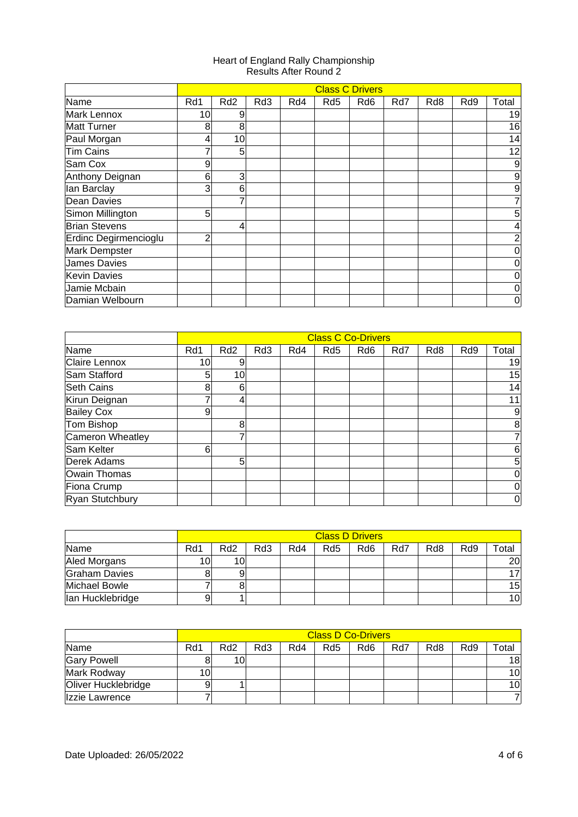|                       |     |                 |     |     |                 | <b>Class C Drivers</b> |     |                  |                  |                  |
|-----------------------|-----|-----------------|-----|-----|-----------------|------------------------|-----|------------------|------------------|------------------|
| Name                  | Rd1 | Rd <sub>2</sub> | Rd3 | Rd4 | Rd <sub>5</sub> | Rd <sub>6</sub>        | Rd7 | R <sub>d</sub> 8 | R <sub>d</sub> 9 | Total            |
| Mark Lennox           | 10  | 9               |     |     |                 |                        |     |                  |                  | 19               |
| <b>Matt Turner</b>    | 8   | 8               |     |     |                 |                        |     |                  |                  | 16               |
| Paul Morgan           | 4   | 10              |     |     |                 |                        |     |                  |                  | 14               |
| <b>Tim Cains</b>      |     | 5               |     |     |                 |                        |     |                  |                  | 12               |
| Sam Cox               | 9   |                 |     |     |                 |                        |     |                  |                  | $\boldsymbol{9}$ |
| Anthony Deignan       | 6   | 3               |     |     |                 |                        |     |                  |                  | $\boldsymbol{9}$ |
| lan Barclay           | 3   | 6               |     |     |                 |                        |     |                  |                  | 9                |
| Dean Davies           |     |                 |     |     |                 |                        |     |                  |                  | 7                |
| Simon Millington      | 5   |                 |     |     |                 |                        |     |                  |                  | 5                |
| <b>Brian Stevens</b>  |     | 4               |     |     |                 |                        |     |                  |                  | $\overline{4}$   |
| Erdinc Degirmencioglu | 2   |                 |     |     |                 |                        |     |                  |                  | $\overline{2}$   |
| Mark Dempster         |     |                 |     |     |                 |                        |     |                  |                  | $\pmb{0}$        |
| <b>James Davies</b>   |     |                 |     |     |                 |                        |     |                  |                  | $\pmb{0}$        |
| <b>Kevin Davies</b>   |     |                 |     |     |                 |                        |     |                  |                  | $\pmb{0}$        |
| Jamie Mcbain          |     |                 |     |     |                 |                        |     |                  |                  | $\pmb{0}$        |
| Damian Welbourn       |     |                 |     |     |                 |                        |     |                  |                  | $\boldsymbol{0}$ |

|                   |                 |                 |     |     |                 | <b>Class C Co-Drivers</b> |     |                  |                  |                |
|-------------------|-----------------|-----------------|-----|-----|-----------------|---------------------------|-----|------------------|------------------|----------------|
| Name              | Rd1             | Rd <sub>2</sub> | Rd3 | Rd4 | Rd <sub>5</sub> | Rd <sub>6</sub>           | Rd7 | R <sub>d</sub> 8 | R <sub>d</sub> 9 | Total          |
| Claire Lennox     | 10 <sup>1</sup> | 9               |     |     |                 |                           |     |                  |                  | 19             |
| Sam Stafford      | 5               | 10              |     |     |                 |                           |     |                  |                  | 15             |
| Seth Cains        | 8               | 6               |     |     |                 |                           |     |                  |                  | 14             |
| Kirun Deignan     |                 | 4               |     |     |                 |                           |     |                  |                  | 11             |
| <b>Bailey Cox</b> | 9               |                 |     |     |                 |                           |     |                  |                  | 9              |
| Tom Bishop        |                 | 8               |     |     |                 |                           |     |                  |                  | 8              |
| Cameron Wheatley  |                 |                 |     |     |                 |                           |     |                  |                  | $\overline{7}$ |
| Sam Kelter        | 6               |                 |     |     |                 |                           |     |                  |                  | $\,6$          |
| Derek Adams       |                 | 5               |     |     |                 |                           |     |                  |                  | 5              |
| Owain Thomas      |                 |                 |     |     |                 |                           |     |                  |                  | $\mathbf 0$    |
| Fiona Crump       |                 |                 |     |     |                 |                           |     |                  |                  | $\mathbf 0$    |
| Ryan Stutchbury   |                 |                 |     |     |                 |                           |     |                  |                  | $\mathbf 0$    |

|                      |     |                 |     |     |     | <b>Class D Drivers</b> |     |     |                  |       |
|----------------------|-----|-----------------|-----|-----|-----|------------------------|-----|-----|------------------|-------|
| <b>Name</b>          | Rd1 | Rd <sub>2</sub> | Rd3 | Rd4 | Rd5 | Rd <sub>6</sub>        | Rd7 | Rd8 | R <sub>d</sub> 9 | Total |
| Aled Morgans         | 10  | 10              |     |     |     |                        |     |     |                  | 20    |
| <b>Graham Davies</b> |     | 9               |     |     |     |                        |     |     |                  | 171   |
| Michael Bowle        |     |                 |     |     |     |                        |     |     |                  | 15    |
| lan Hucklebridge     |     |                 |     |     |     |                        |     |     |                  | 10    |

|                     |     |     |     |     |     | <b>Class D Co-Drivers</b> |     |                  |                  |                 |
|---------------------|-----|-----|-----|-----|-----|---------------------------|-----|------------------|------------------|-----------------|
| <b>Name</b>         | Rd1 | Rd2 | Rd3 | Rd4 | Rd5 | Rd6                       | Rd7 | R <sub>d</sub> 8 | R <sub>d</sub> 9 | Total           |
| <b>Gary Powell</b>  |     | 10  |     |     |     |                           |     |                  |                  | 18 <sup>°</sup> |
| Mark Rodway         |     |     |     |     |     |                           |     |                  |                  | 10 <sup>1</sup> |
| Oliver Hucklebridge |     |     |     |     |     |                           |     |                  |                  | 10 <sup>1</sup> |
| Izzie Lawrence      |     |     |     |     |     |                           |     |                  |                  |                 |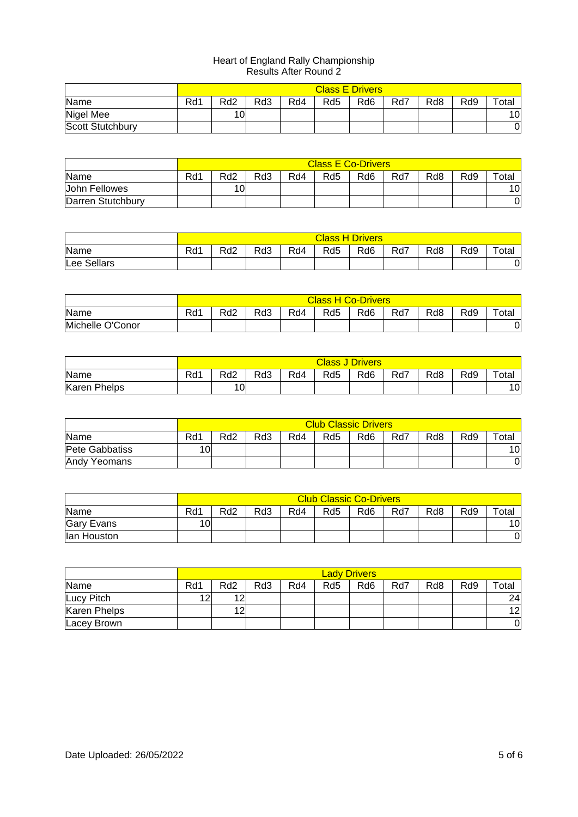|                  |     |     |     |     | <b>Class E Drivers</b> |                  |     |     |                  |             |
|------------------|-----|-----|-----|-----|------------------------|------------------|-----|-----|------------------|-------------|
| Name             | Rd1 | Rd2 | Rd3 | Rd4 | Rd <sub>5</sub>        | R <sub>d</sub> 6 | Rd7 | Rd8 | R <sub>d</sub> 9 | $\tau$ otal |
| Nigel Mee        |     | 10  |     |     |                        |                  |     |     |                  | 10          |
| Scott Stutchbury |     |     |     |     |                        |                  |     |     |                  | 01          |

|                   |     |     |     |     |     | <b>Class E Co-Drivers</b> |     |                  |                  |       |
|-------------------|-----|-----|-----|-----|-----|---------------------------|-----|------------------|------------------|-------|
| Name              | Rd1 | Rd2 | Rd3 | Rd4 | Rd5 | Rd <sub>6</sub>           | Rd7 | R <sub>d</sub> 8 | R <sub>d</sub> 9 | Totai |
| John Fellowes     |     |     |     |     |     |                           |     |                  |                  | 10    |
| Darren Stutchbury |     |     |     |     |     |                           |     |                  |                  | 0     |

|             |     | <b>Class H Drivers</b> |     |     |                 |                  |     |                  |                  |             |  |
|-------------|-----|------------------------|-----|-----|-----------------|------------------|-----|------------------|------------------|-------------|--|
| Name        | Rd1 | Rd <sub>2</sub>        | Rd3 | Rd4 | Rd <sub>5</sub> | R <sub>d</sub> 6 | Rd7 | R <sub>d</sub> 8 | R <sub>d</sub> 9 | $\tau$ otal |  |
| Lee Sellars |     |                        |     |     |                 |                  |     |                  |                  | Ol          |  |

|                  |     | <b>Class H Co-Drivers</b> |     |     |     |                  |     |     |                  |             |  |  |
|------------------|-----|---------------------------|-----|-----|-----|------------------|-----|-----|------------------|-------------|--|--|
| <b>Name</b>      | Rd1 | Rd2                       | Rd3 | Rd4 | Rd5 | R <sub>d</sub> 6 | Rd7 | Rd8 | R <sub>d</sub> 9 | $\tau$ otal |  |  |
| Michelle O'Conor |     |                           |     |     |     |                  |     |     |                  | 0           |  |  |

|              |     | <b>Class J Drivers</b> |     |     |                 |                 |     |     |     |       |  |  |
|--------------|-----|------------------------|-----|-----|-----------------|-----------------|-----|-----|-----|-------|--|--|
| Name         | Rd1 | Rd <sub>2</sub>        | Rd3 | Rd4 | Rd <sub>5</sub> | Rd <sub>6</sub> | Rd7 | Rd8 | Rd9 | Tota. |  |  |
| Karen Phelps |     | $1 \cap$<br>⊥∪         |     |     |                 |                 |     |     |     | 10    |  |  |

|                | <b>Club Classic Drivers</b> |     |     |     |     |                 |     |     |                  |             |
|----------------|-----------------------------|-----|-----|-----|-----|-----------------|-----|-----|------------------|-------------|
| Name           | Rd1                         | Rd2 | Rd3 | Rd4 | Rd5 | Rd <sub>6</sub> | Rd7 | Rd8 | R <sub>d</sub> 9 | $\tau$ otal |
| Pete Gabbatiss |                             |     |     |     |     |                 |     |     |                  | 10          |
| Andy Yeomans   |                             |     |     |     |     |                 |     |     |                  | 01          |

|                   |     | <b>Club Classic Co-Drivers</b> |     |     |     |                 |     |     |                  |             |  |  |
|-------------------|-----|--------------------------------|-----|-----|-----|-----------------|-----|-----|------------------|-------------|--|--|
| <b>Name</b>       | Rd1 | Rd2                            | Rd3 | Rd4 | Rd5 | Rd <sub>6</sub> | Rd7 | Rd8 | R <sub>d</sub> 9 | $\tau$ otal |  |  |
| <b>Gary Evans</b> |     |                                |     |     |     |                 |     |     |                  | 10          |  |  |
| llan Houston      |     |                                |     |     |     |                 |     |     |                  | 01          |  |  |

|              |                 | <b>Lady Drivers</b> |     |     |                 |                  |     |                  |                  |             |  |
|--------------|-----------------|---------------------|-----|-----|-----------------|------------------|-----|------------------|------------------|-------------|--|
| Name         | Rd1             | Rd <sub>2</sub>     | Rd3 | Rd4 | Rd <sub>5</sub> | R <sub>d</sub> 6 | Rd7 | R <sub>d</sub> 8 | R <sub>d</sub> 9 | $\tau$ otal |  |
| Lucy Pitch   | 12 <sup>2</sup> | 12                  |     |     |                 |                  |     |                  |                  | 24          |  |
| Karen Phelps |                 | 12                  |     |     |                 |                  |     |                  |                  | 12          |  |
| Lacey Brown  |                 |                     |     |     |                 |                  |     |                  |                  | 0           |  |